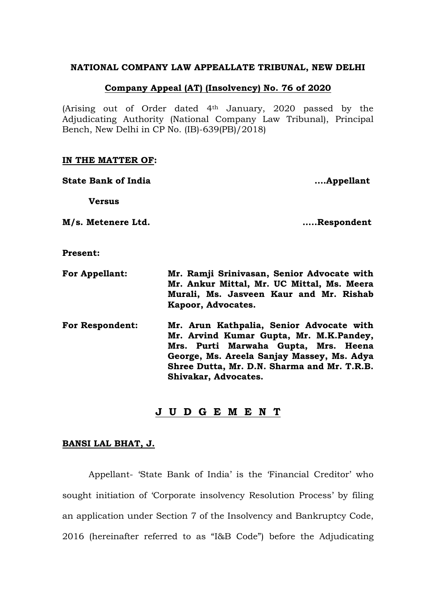#### **NATIONAL COMPANY LAW APPEALLATE TRIBUNAL, NEW DELHI**

## **Company Appeal (AT) (Insolvency) No. 76 of 2020**

(Arising out of Order dated 4th January, 2020 passed by the Adjudicating Authority (National Company Law Tribunal), Principal Bench, New Delhi in CP No. (IB)-639(PB)/2018)

### **IN THE MATTER OF:**

**State Bank of India ….Appellant**

**Versus**

**M/s. Metenere Ltd. …..Respondent**

**Present:**

- **For Appellant: Mr. Ramji Srinivasan, Senior Advocate with Mr. Ankur Mittal, Mr. UC Mittal, Ms. Meera Murali, Ms. Jasveen Kaur and Mr. Rishab Kapoor, Advocates.**
- **For Respondent: Mr. Arun Kathpalia, Senior Advocate with Mr. Arvind Kumar Gupta, Mr. M.K.Pandey, Mrs. Purti Marwaha Gupta, Mrs. Heena George, Ms. Areela Sanjay Massey, Ms. Adya Shree Dutta, Mr. D.N. Sharma and Mr. T.R.B. Shivakar, Advocates.**

# **J U D G E M E N T**

## **BANSI LAL BHAT, J.**

Appellant- 'State Bank of India' is the 'Financial Creditor' who sought initiation of 'Corporate insolvency Resolution Process' by filing an application under Section 7 of the Insolvency and Bankruptcy Code, 2016 (hereinafter referred to as "I&B Code") before the Adjudicating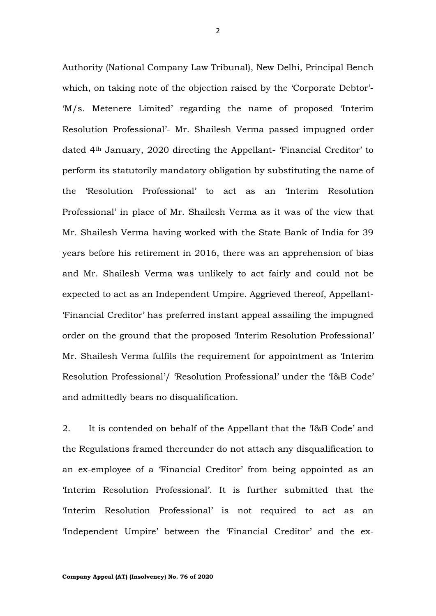Authority (National Company Law Tribunal), New Delhi, Principal Bench which, on taking note of the objection raised by the 'Corporate Debtor'- 'M/s. Metenere Limited' regarding the name of proposed 'Interim Resolution Professional'- Mr. Shailesh Verma passed impugned order dated 4th January, 2020 directing the Appellant- 'Financial Creditor' to perform its statutorily mandatory obligation by substituting the name of the 'Resolution Professional' to act as an 'Interim Resolution Professional' in place of Mr. Shailesh Verma as it was of the view that Mr. Shailesh Verma having worked with the State Bank of India for 39 years before his retirement in 2016, there was an apprehension of bias and Mr. Shailesh Verma was unlikely to act fairly and could not be expected to act as an Independent Umpire. Aggrieved thereof, Appellant- 'Financial Creditor' has preferred instant appeal assailing the impugned order on the ground that the proposed 'Interim Resolution Professional' Mr. Shailesh Verma fulfils the requirement for appointment as 'Interim Resolution Professional'/ 'Resolution Professional' under the 'I&B Code' and admittedly bears no disqualification.

2. It is contended on behalf of the Appellant that the 'I&B Code' and the Regulations framed thereunder do not attach any disqualification to an ex-employee of a 'Financial Creditor' from being appointed as an 'Interim Resolution Professional'. It is further submitted that the 'Interim Resolution Professional' is not required to act as an 'Independent Umpire' between the 'Financial Creditor' and the ex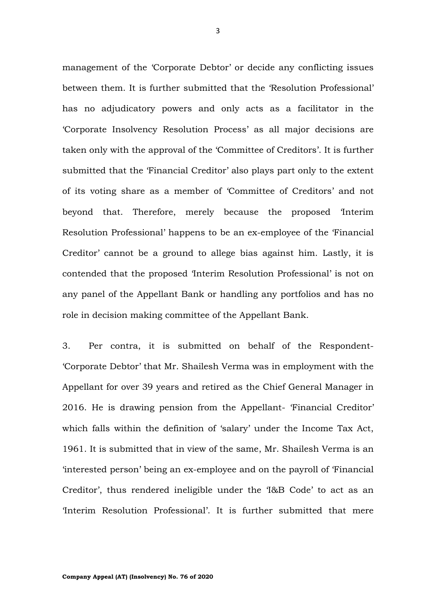management of the 'Corporate Debtor' or decide any conflicting issues between them. It is further submitted that the 'Resolution Professional' has no adjudicatory powers and only acts as a facilitator in the 'Corporate Insolvency Resolution Process' as all major decisions are taken only with the approval of the 'Committee of Creditors'. It is further submitted that the 'Financial Creditor' also plays part only to the extent of its voting share as a member of 'Committee of Creditors' and not beyond that. Therefore, merely because the proposed 'Interim Resolution Professional' happens to be an ex-employee of the 'Financial Creditor' cannot be a ground to allege bias against him. Lastly, it is contended that the proposed 'Interim Resolution Professional' is not on any panel of the Appellant Bank or handling any portfolios and has no role in decision making committee of the Appellant Bank.

3. Per contra, it is submitted on behalf of the Respondent- 'Corporate Debtor' that Mr. Shailesh Verma was in employment with the Appellant for over 39 years and retired as the Chief General Manager in 2016. He is drawing pension from the Appellant- 'Financial Creditor' which falls within the definition of 'salary' under the Income Tax Act, 1961. It is submitted that in view of the same, Mr. Shailesh Verma is an 'interested person' being an ex-employee and on the payroll of 'Financial Creditor', thus rendered ineligible under the 'I&B Code' to act as an 'Interim Resolution Professional'. It is further submitted that mere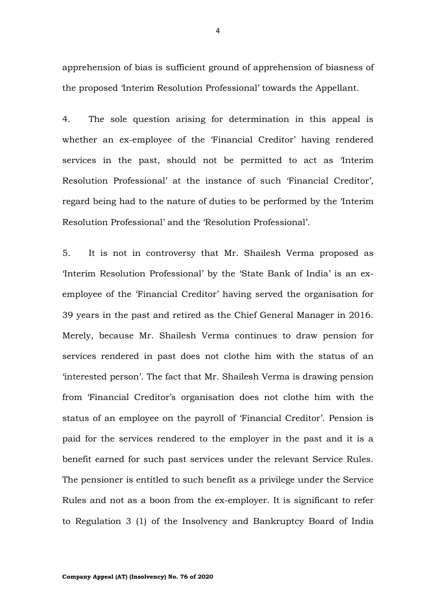apprehension of bias is sufficient ground of apprehension of biasness of the proposed 'Interim Resolution Professional' towards the Appellant.

4. The sole question arising for determination in this appeal is whether an ex-employee of the 'Financial Creditor' having rendered services in the past, should not be permitted to act as 'Interim Resolution Professional' at the instance of such 'Financial Creditor', regard being had to the nature of duties to be performed by the 'Interim Resolution Professional' and the 'Resolution Professional'.

5. It is not in controversy that Mr. Shailesh Verma proposed as 'Interim Resolution Professional' by the 'State Bank of India' is an exemployee of the 'Financial Creditor' having served the organisation for 39 years in the past and retired as the Chief General Manager in 2016. Merely, because Mr. Shailesh Verma continues to draw pension for services rendered in past does not clothe him with the status of an 'interested person'. The fact that Mr. Shailesh Verma is drawing pension from 'Financial Creditor's organisation does not clothe him with the status of an employee on the payroll of 'Financial Creditor'. Pension is paid for the services rendered to the employer in the past and it is a benefit earned for such past services under the relevant Service Rules. The pensioner is entitled to such benefit as a privilege under the Service Rules and not as a boon from the ex-employer. It is significant to refer to Regulation 3 (1) of the Insolvency and Bankruptcy Board of India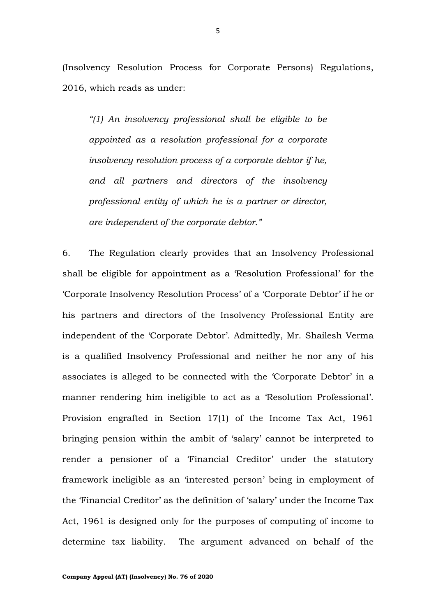(Insolvency Resolution Process for Corporate Persons) Regulations, 2016, which reads as under:

*"(1) An insolvency professional shall be eligible to be appointed as a resolution professional for a corporate insolvency resolution process of a corporate debtor if he, and all partners and directors of the insolvency professional entity of which he is a partner or director, are independent of the corporate debtor."*

6. The Regulation clearly provides that an Insolvency Professional shall be eligible for appointment as a 'Resolution Professional' for the 'Corporate Insolvency Resolution Process' of a 'Corporate Debtor' if he or his partners and directors of the Insolvency Professional Entity are independent of the 'Corporate Debtor'. Admittedly, Mr. Shailesh Verma is a qualified Insolvency Professional and neither he nor any of his associates is alleged to be connected with the 'Corporate Debtor' in a manner rendering him ineligible to act as a 'Resolution Professional'. Provision engrafted in Section 17(1) of the Income Tax Act, 1961 bringing pension within the ambit of 'salary' cannot be interpreted to render a pensioner of a 'Financial Creditor' under the statutory framework ineligible as an 'interested person' being in employment of the 'Financial Creditor' as the definition of 'salary' under the Income Tax Act, 1961 is designed only for the purposes of computing of income to determine tax liability. The argument advanced on behalf of the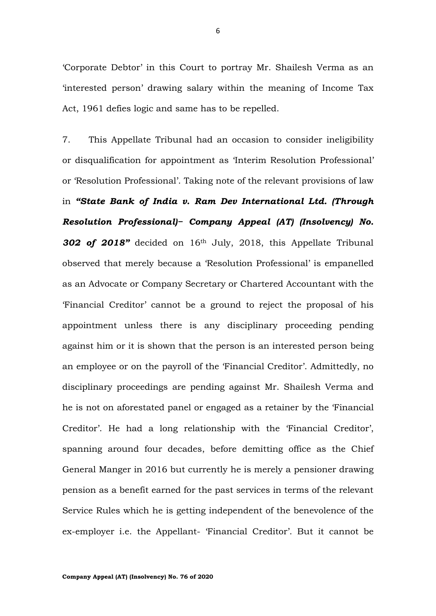'Corporate Debtor' in this Court to portray Mr. Shailesh Verma as an 'interested person' drawing salary within the meaning of Income Tax Act, 1961 defies logic and same has to be repelled.

7. This Appellate Tribunal had an occasion to consider ineligibility or disqualification for appointment as 'Interim Resolution Professional' or 'Resolution Professional'. Taking note of the relevant provisions of law in *"State Bank of India v. Ram Dev International Ltd. (Through Resolution Professional)− Company Appeal (AT) (Insolvency) No. 302 of 2018"* decided on 16th July, 2018, this Appellate Tribunal observed that merely because a 'Resolution Professional' is empanelled as an Advocate or Company Secretary or Chartered Accountant with the 'Financial Creditor' cannot be a ground to reject the proposal of his appointment unless there is any disciplinary proceeding pending against him or it is shown that the person is an interested person being an employee or on the payroll of the 'Financial Creditor'. Admittedly, no disciplinary proceedings are pending against Mr. Shailesh Verma and he is not on aforestated panel or engaged as a retainer by the 'Financial Creditor'. He had a long relationship with the 'Financial Creditor', spanning around four decades, before demitting office as the Chief General Manger in 2016 but currently he is merely a pensioner drawing pension as a benefit earned for the past services in terms of the relevant Service Rules which he is getting independent of the benevolence of the ex-employer i.e. the Appellant- 'Financial Creditor'. But it cannot be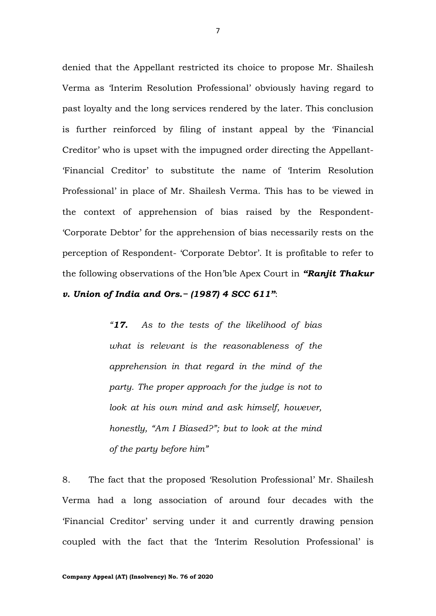denied that the Appellant restricted its choice to propose Mr. Shailesh Verma as 'Interim Resolution Professional' obviously having regard to past loyalty and the long services rendered by the later. This conclusion is further reinforced by filing of instant appeal by the 'Financial Creditor' who is upset with the impugned order directing the Appellant- 'Financial Creditor' to substitute the name of 'Interim Resolution Professional' in place of Mr. Shailesh Verma. This has to be viewed in the context of apprehension of bias raised by the Respondent- 'Corporate Debtor' for the apprehension of bias necessarily rests on the perception of Respondent- 'Corporate Debtor'. It is profitable to refer to the following observations of the Hon'ble Apex Court in *"Ranjit Thakur* 

*v. Union of India and Ors.− (1987) 4 SCC 611"*:

*"17. As to the tests of the likelihood of bias what is relevant is the reasonableness of the apprehension in that regard in the mind of the party. The proper approach for the judge is not to look at his own mind and ask himself, however, honestly, "Am I Biased?"; but to look at the mind of the party before him"*

8. The fact that the proposed 'Resolution Professional' Mr. Shailesh Verma had a long association of around four decades with the 'Financial Creditor' serving under it and currently drawing pension coupled with the fact that the 'Interim Resolution Professional' is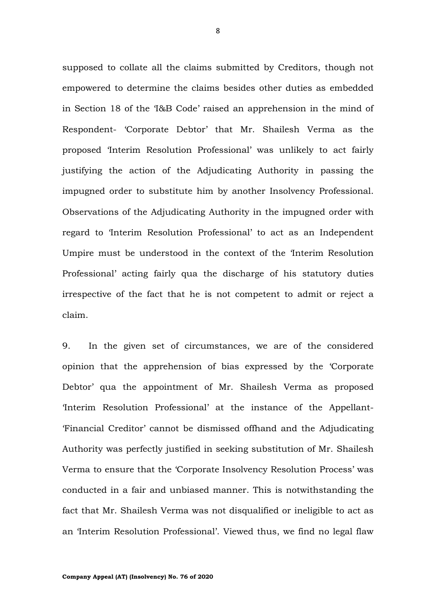supposed to collate all the claims submitted by Creditors, though not empowered to determine the claims besides other duties as embedded in Section 18 of the 'I&B Code' raised an apprehension in the mind of Respondent- 'Corporate Debtor' that Mr. Shailesh Verma as the proposed 'Interim Resolution Professional' was unlikely to act fairly justifying the action of the Adjudicating Authority in passing the impugned order to substitute him by another Insolvency Professional. Observations of the Adjudicating Authority in the impugned order with regard to 'Interim Resolution Professional' to act as an Independent Umpire must be understood in the context of the 'Interim Resolution Professional' acting fairly qua the discharge of his statutory duties irrespective of the fact that he is not competent to admit or reject a claim.

9. In the given set of circumstances, we are of the considered opinion that the apprehension of bias expressed by the 'Corporate Debtor' qua the appointment of Mr. Shailesh Verma as proposed 'Interim Resolution Professional' at the instance of the Appellant- 'Financial Creditor' cannot be dismissed offhand and the Adjudicating Authority was perfectly justified in seeking substitution of Mr. Shailesh Verma to ensure that the 'Corporate Insolvency Resolution Process' was conducted in a fair and unbiased manner. This is notwithstanding the fact that Mr. Shailesh Verma was not disqualified or ineligible to act as an 'Interim Resolution Professional'. Viewed thus, we find no legal flaw